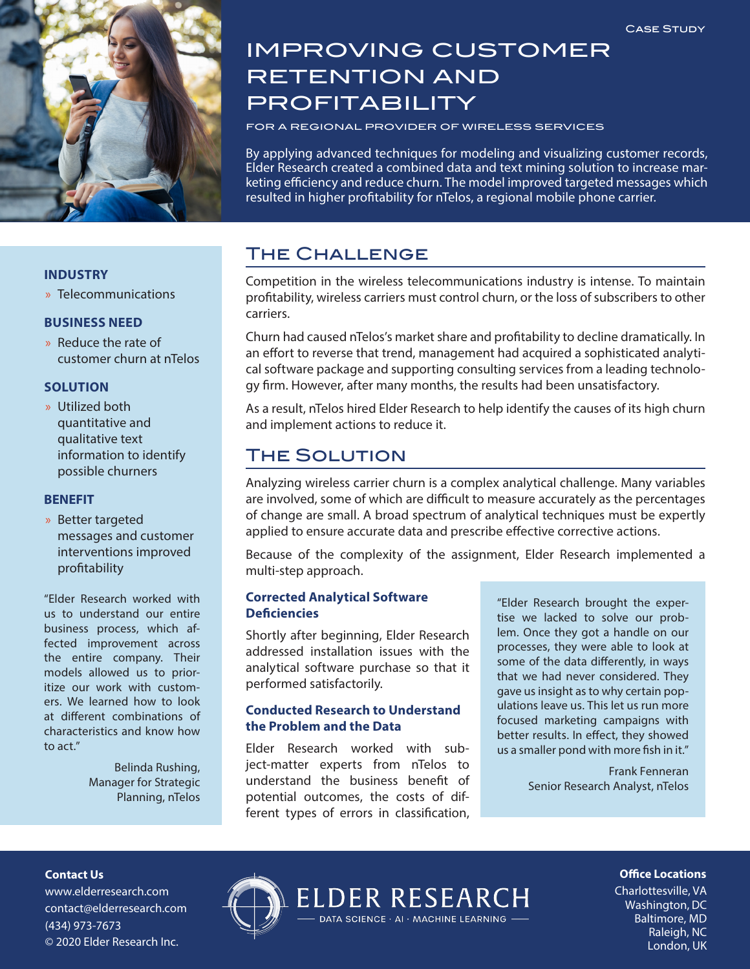

# IMPROVING CUSTOMER RETENTION AND PROFITABILITY

FOR A REGIONAL PROVIDER OF WIRELESS SERVICES

By applying advanced techniques for modeling and visualizing customer records, Elder Research created a combined data and text mining solution to increase marketing efficiency and reduce churn. The model improved targeted messages which resulted in higher profitability for nTelos, a regional mobile phone carrier.

## The Challenge

Competition in the wireless telecommunications industry is intense. To maintain profitability, wireless carriers must control churn, or the loss of subscribers to other carriers.

Churn had caused nTelos's market share and profitability to decline dramatically. In an effort to reverse that trend, management had acquired a sophisticated analytical software package and supporting consulting services from a leading technology firm. However, after many months, the results had been unsatisfactory.

As a result, nTelos hired Elder Research to help identify the causes of its high churn and implement actions to reduce it.

## The Solution

Analyzing wireless carrier churn is a complex analytical challenge. Many variables are involved, some of which are difficult to measure accurately as the percentages of change are small. A broad spectrum of analytical techniques must be expertly applied to ensure accurate data and prescribe effective corrective actions.

Because of the complexity of the assignment, Elder Research implemented a multi-step approach.

#### **Corrected Analytical Software Deficiencies**

Shortly after beginning, Elder Research addressed installation issues with the analytical software purchase so that it performed satisfactorily.

### **Conducted Research to Understand the Problem and the Data**

Elder Research worked with subject-matter experts from nTelos to understand the business benefit of potential outcomes, the costs of different types of errors in classification, "Elder Research brought the expertise we lacked to solve our problem. Once they got a handle on our processes, they were able to look at some of the data differently, in ways that we had never considered. They gave us insight as to why certain populations leave us. This let us run more focused marketing campaigns with better results. In effect, they showed us a smaller pond with more fish in it."

> Frank Fenneran Senior Research Analyst, nTelos

#### **INDUSTRY**

» Telecommunications

#### **BUSINESS NEED**

» Reduce the rate of customer churn at nTelos

#### **SOLUTION**

» Utilized both quantitative and qualitative text information to identify possible churners

#### **BENEFIT**

» Better targeted messages and customer interventions improved profitability

"Elder Research worked with us to understand our entire business process, which affected improvement across the entire company. Their models allowed us to prioritize our work with customers. We learned how to look at different combinations of characteristics and know how to act."

> Belinda Rushing, Manager for Strategic Planning, nTelos

#### **Contact Us**

www.elderresearch.com contact@elderresearch.com (434) 973-7673 © 2020 Elder Research Inc.



**Office Locations** 

Charlottesville, VA Washington, DC Baltimore, MD Raleigh, NC London, UK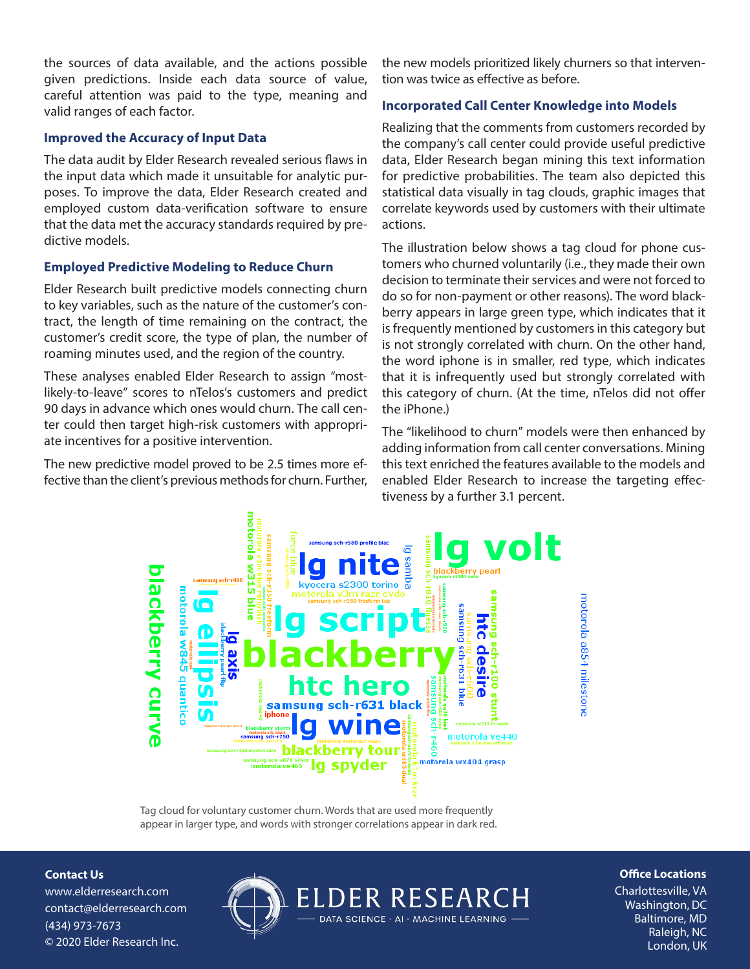the sources of data available, and the actions possible given predictions. Inside each data source of value, careful attention was paid to the type, meaning and valid ranges of each factor.

#### **Improved the Accuracy of Input Data**

The data audit by Elder Research revealed serious flaws in the input data which made it unsuitable for analytic purposes. To improve the data, Elder Research created and employed custom data-verification software to ensure that the data met the accuracy standards required by predictive models.

#### **Employed Predictive Modeling to Reduce Churn**

Elder Research built predictive models connecting churn to key variables, such as the nature of the customer's contract, the length of time remaining on the contract, the customer's credit score, the type of plan, the number of roaming minutes used, and the region of the country.

These analyses enabled Elder Research to assign "mostlikely-to-leave" scores to nTelos's customers and predict 90 days in advance which ones would churn. The call center could then target high-risk customers with appropriate incentives for a positive intervention.

The new predictive model proved to be 2.5 times more effective than the client's previous methods for churn. Further, the new models prioritized likely churners so that intervention was twice as effective as before.

#### **Incorporated Call Center Knowledge into Models**

Realizing that the comments from customers recorded by the company's call center could provide useful predictive data, Elder Research began mining this text information for predictive probabilities. The team also depicted this statistical data visually in tag clouds, graphic images that correlate keywords used by customers with their ultimate actions.

The illustration below shows a tag cloud for phone customers who churned voluntarily (i.e., they made their own decision to terminate their services and were not forced to do so for non-payment or other reasons). The word blackberry appears in large green type, which indicates that it is frequently mentioned by customers in this category but is not strongly correlated with churn. On the other hand, the word iphone is in smaller, red type, which indicates that it is infrequently used but strongly correlated with this category of churn. (At the time, nTelos did not offer the iPhone.)

The "likelihood to churn" models were then enhanced by adding information from call center conversations. Mining this text enriched the features available to the models and enabled Elder Research to increase the targeting effectiveness by a further 3.1 percent.

motorola a854 milestone



Tag cloud for voluntary customer churn. Words that are used more frequently appear in larger type, and words with stronger correlations appear in dark red.

**Contact Us**

www.elderresearch.com contact@elderresearch.com (434) 973-7673 © 2020 Elder Research Inc.



#### **Office Locations**

Charlottesville, VA Washington, DC Baltimore, MD Raleigh, NC London, UK